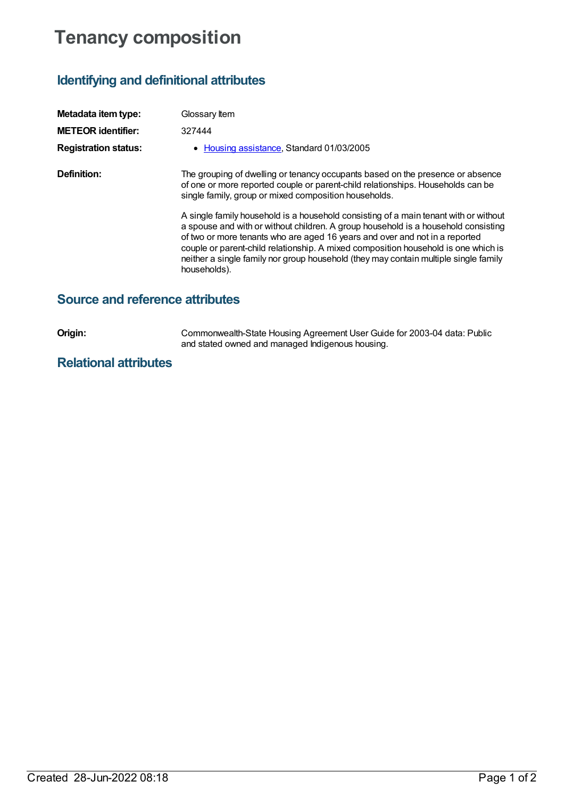# **Tenancy composition**

## **Identifying and definitional attributes**

| Metadata item type:         | Glossary Item                                                                                                                                                                                                                                                                                                                                                                                                                                           |
|-----------------------------|---------------------------------------------------------------------------------------------------------------------------------------------------------------------------------------------------------------------------------------------------------------------------------------------------------------------------------------------------------------------------------------------------------------------------------------------------------|
| <b>METEOR identifier:</b>   | 327444                                                                                                                                                                                                                                                                                                                                                                                                                                                  |
| <b>Registration status:</b> | • Housing assistance, Standard 01/03/2005                                                                                                                                                                                                                                                                                                                                                                                                               |
| Definition:                 | The grouping of dwelling or tenancy occupants based on the presence or absence<br>of one or more reported couple or parent-child relationships. Households can be<br>single family, group or mixed composition households.                                                                                                                                                                                                                              |
|                             | A single family household is a household consisting of a main tenant with or without<br>a spouse and with or without children. A group household is a household consisting<br>of two or more tenants who are aged 16 years and over and not in a reported<br>couple or parent-child relationship. A mixed composition household is one which is<br>neither a single family nor group household (they may contain multiple single family<br>households). |

### **Source and reference attributes**

**Origin:** Commonwealth-State Housing Agreement User Guide for 2003-04 data: Public and stated owned and managed Indigenous housing.

### **Relational attributes**